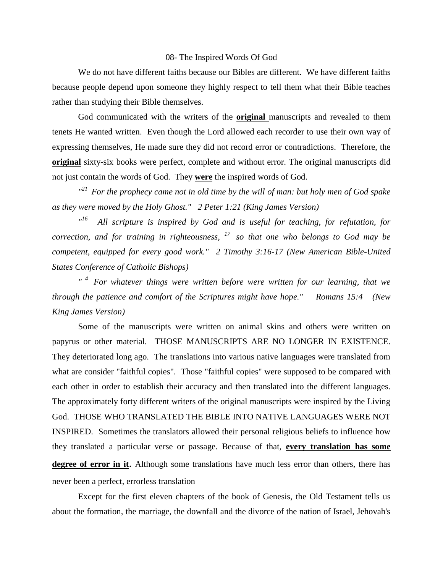## 08- The Inspired Words Of God

We do not have different faiths because our Bibles are different. We have different faiths because people depend upon someone they highly respect to tell them what their Bible teaches rather than studying their Bible themselves.

God communicated with the writers of the **original** manuscripts and revealed to them tenets He wanted written. Even though the Lord allowed each recorder to use their own way of expressing themselves, He made sure they did not record error or contradictions. Therefore, the **original** sixty-six books were perfect, complete and without error. The original manuscripts did not just contain the words of God. They **were** the inspired words of God.

*" <sup>21</sup>For the prophecy came not in old time by the will of man: but holy men of God spake as they were moved by the Holy Ghost." 2 Peter 1:21 (King James Version)* 

*" <sup>16</sup>All scripture is inspired by God and is useful for teaching, for refutation, for correction, and for training in righteousness, <sup>17</sup>so that one who belongs to God may be competent, equipped for every good work." 2 Timothy 3:16-17 (New American Bible-United States Conference of Catholic Bishops)* 

*" <sup>4</sup>For whatever things were written before were written for our learning, that we through the patience and comfort of the Scriptures might have hope." Romans 15:4 (New King James Version)* 

Some of the manuscripts were written on animal skins and others were written on papyrus or other material. THOSE MANUSCRIPTS ARE NO LONGER IN EXISTENCE. They deteriorated long ago. The translations into various native languages were translated from what are consider "faithful copies". Those "faithful copies" were supposed to be compared with each other in order to establish their accuracy and then translated into the different languages. The approximately forty different writers of the original manuscripts were inspired by the Living God. THOSE WHO TRANSLATED THE BIBLE INTO NATIVE LANGUAGES WERE NOT INSPIRED. Sometimes the translators allowed their personal religious beliefs to influence how they translated a particular verse or passage. Because of that, **every translation has some degree of error in it**. Although some translations have much less error than others, there has never been a perfect, errorless translation

Except for the first eleven chapters of the book of Genesis, the Old Testament tells us about the formation, the marriage, the downfall and the divorce of the nation of Israel, Jehovah's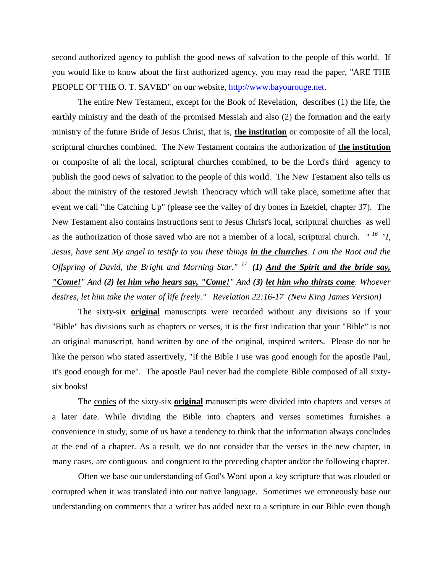second authorized agency to publish the good news of salvation to the people of this world. If you would like to know about the first authorized agency, you may read the paper, "ARE THE PEOPLE OF THE O. T. SAVED" on our website, [http://www.bayourouge.net.](http://www.bayourouge.net/)

The entire New Testament, except for the Book of Revelation, describes (1) the life, the earthly ministry and the death of the promised Messiah and also (2) the formation and the early ministry of the future Bride of Jesus Christ, that is, **the institution** or composite of all the local, scriptural churches combined. The New Testament contains the authorization of **the institution** or composite of all the local, scriptural churches combined, to be the Lord's third agency to publish the good news of salvation to the people of this world. The New Testament also tells us about the ministry of the restored Jewish Theocracy which will take place, sometime after that event we call "the Catching Up" (please see the valley of dry bones in Ezekiel, chapter 37). The New Testament also contains instructions sent to Jesus Christ's local, scriptural churches as well as the authorization of those saved who are not a member of a local, scriptural church. *" <sup>16</sup>"I, Jesus, have sent My angel to testify to you these things in the churches. I am the Root and the Offspring of David, the Bright and Morning Star." <sup>17</sup>(1) And the Spirit and the bride say, "Come!" And (2) let him who hears say, "Come!" And (3) let him who thirsts come. Whoever desires, let him take the water of life freely." Revelation 22:16-17 (New King James Version)* 

The sixty-six **original** manuscripts were recorded without any divisions so if your "Bible" has divisions such as chapters or verses, it is the first indication that your "Bible" is not an original manuscript, hand written by one of the original, inspired writers. Please do not be like the person who stated assertively, "If the Bible I use was good enough for the apostle Paul, it's good enough for me". The apostle Paul never had the complete Bible composed of all sixtysix books!

The copies of the sixty-six **original** manuscripts were divided into chapters and verses at a later date. While dividing the Bible into chapters and verses sometimes furnishes a convenience in study, some of us have a tendency to think that the information always concludes at the end of a chapter. As a result, we do not consider that the verses in the new chapter, in many cases, are contiguous and congruent to the preceding chapter and/or the following chapter.

Often we base our understanding of God's Word upon a key scripture that was clouded or corrupted when it was translated into our native language. Sometimes we erroneously base our understanding on comments that a writer has added next to a scripture in our Bible even though